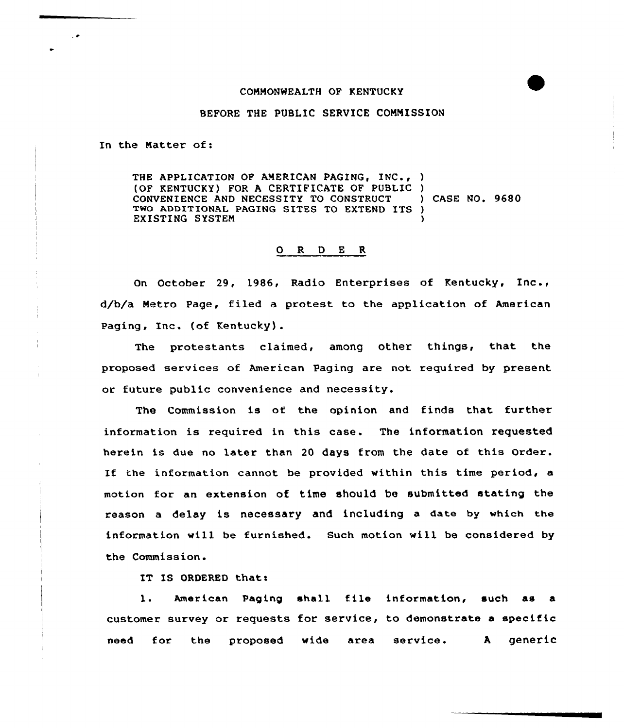## COMMONWEALTH OF KENTUCKY

## BEFORE THE PUBLIC SERVICE COMMISSION

In the Matter of:

THE APPLICATION OF AMERICAN PAGING, INC., ) (OF KENTUCKY) FOR A CERTIFICATE OF PUBLIC )<br>CONVENIENCE AND NECESSITY TO CONSTRUCT ( ) CASE NO. 9680 CONVENIENCE AND NECESSITY TO CONSTRUCT TWO ADDITIONAL PAGING SITES TO EXTEND ITS ) EXISTING SYSTEM

## 0 R <sup>D</sup> E R

On October 29, 1986, Radio Enterprises of Kentucky, Inc., d/b/a Metro Page, filed a protest to the application of American Paging, Inc. (of Kentucky) .

The protestants claimed, among other things, that the proposed services of American Paging are not required by present or future public convenience and necessity.

The Commission is of the opinion and finds that further information is required in this case. The information requested herein is due no later than 20 days from the date of this Order. If the information cannot be provided within this time period, a motion for an extension of time should be submitted stating the reason a delay is necessary and including a date by which the information will be furnished. Such motion will be considered by the Commission.

IT IS ORDERED that:

1. American Paging shall file information, such as a customer survey or requests for service, to demonstrate a specific need for the proposed wide area service. <sup>A</sup> generic